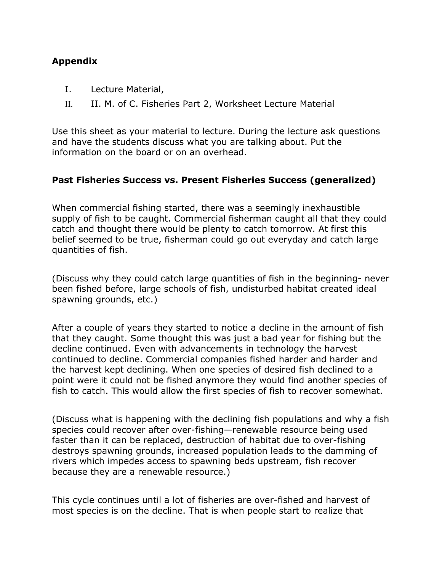## **Appendix**

- I. Lecture Material,
- II. II. M. of C. Fisheries Part 2, Worksheet Lecture Material

Use this sheet as your material to lecture. During the lecture ask questions and have the students discuss what you are talking about. Put the information on the board or on an overhead.

## **Past Fisheries Success vs. Present Fisheries Success (generalized)**

When commercial fishing started, there was a seemingly inexhaustible supply of fish to be caught. Commercial fisherman caught all that they could catch and thought there would be plenty to catch tomorrow. At first this belief seemed to be true, fisherman could go out everyday and catch large quantities of fish.

(Discuss why they could catch large quantities of fish in the beginning- never been fished before, large schools of fish, undisturbed habitat created ideal spawning grounds, etc.)

After a couple of years they started to notice a decline in the amount of fish that they caught. Some thought this was just a bad year for fishing but the decline continued. Even with advancements in technology the harvest continued to decline. Commercial companies fished harder and harder and the harvest kept declining. When one species of desired fish declined to a point were it could not be fished anymore they would find another species of fish to catch. This would allow the first species of fish to recover somewhat.

(Discuss what is happening with the declining fish populations and why a fish species could recover after over-fishing—renewable resource being used faster than it can be replaced, destruction of habitat due to over-fishing destroys spawning grounds, increased population leads to the damming of rivers which impedes access to spawning beds upstream, fish recover because they are a renewable resource.)

This cycle continues until a lot of fisheries are over-fished and harvest of most species is on the decline. That is when people start to realize that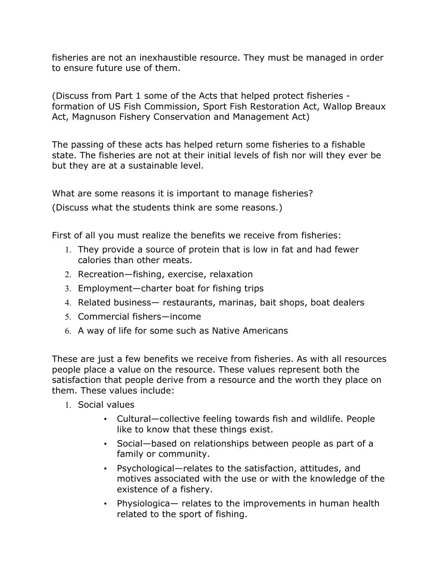fisheries are not an inexhaustible resource. They must be managed in order to ensure future use of them.

(Discuss from Part 1 some of the Acts that helped protect fisheries formation of US Fish Commission, Sport Fish Restoration Act, Wallop Breaux Act, Magnuson Fishery Conservation and Management Act)

The passing of these acts has helped return some fisheries to a fishable state. The fisheries are not at their initial levels of fish nor will they ever be but they are at a sustainable level.

What are some reasons it is important to manage fisheries?

(Discuss what the students think are some reasons.)

First of all you must realize the benefits we receive from fisheries:

- 1. They provide a source of protein that is low in fat and had fewer calories than other meats.
- 2. Recreation—fishing, exercise, relaxation
- 3. Employment—charter boat for fishing trips
- 4. Related business— restaurants, marinas, bait shops, boat dealers
- 5. Commercial fishers—income
- 6. A way of life for some such as Native Americans

These are just a few benefits we receive from fisheries. As with all resources people place a value on the resource. These values represent both the satisfaction that people derive from a resource and the worth they place on them. These values include:

- 1. Social values
	- Cultural—collective feeling towards fish and wildlife. People like to know that these things exist.
	- Social—based on relationships between people as part of a family or community.
	- Psychological—relates to the satisfaction, attitudes, and motives associated with the use or with the knowledge of the existence of a fishery.
	- Physiologica— relates to the improvements in human health related to the sport of fishing.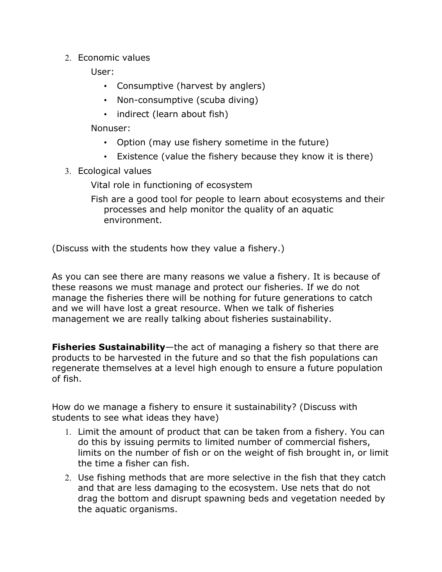2. Economic values

User:

- Consumptive (harvest by anglers)
- Non-consumptive (scuba diving)
- indirect (learn about fish)

Nonuser:

- Option (may use fishery sometime in the future)
- Existence (value the fishery because they know it is there)
- 3. Ecological values

Vital role in functioning of ecosystem

Fish are a good tool for people to learn about ecosystems and their processes and help monitor the quality of an aquatic environment.

(Discuss with the students how they value a fishery.)

As you can see there are many reasons we value a fishery. It is because of these reasons we must manage and protect our fisheries. If we do not manage the fisheries there will be nothing for future generations to catch and we will have lost a great resource. When we talk of fisheries management we are really talking about fisheries sustainability.

**Fisheries Sustainability**—the act of managing a fishery so that there are products to be harvested in the future and so that the fish populations can regenerate themselves at a level high enough to ensure a future population of fish.

How do we manage a fishery to ensure it sustainability? (Discuss with students to see what ideas they have)

- 1. Limit the amount of product that can be taken from a fishery. You can do this by issuing permits to limited number of commercial fishers, limits on the number of fish or on the weight of fish brought in, or limit the time a fisher can fish.
- 2. Use fishing methods that are more selective in the fish that they catch and that are less damaging to the ecosystem. Use nets that do not drag the bottom and disrupt spawning beds and vegetation needed by the aquatic organisms.